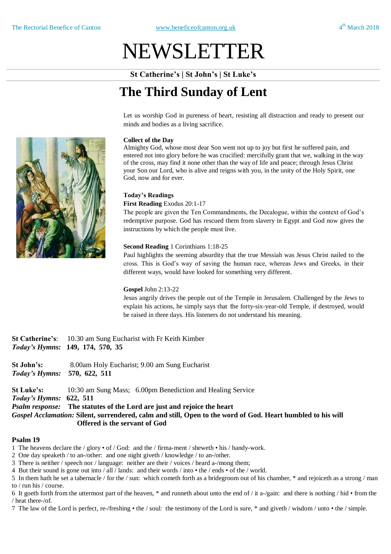# NEWSLETTER

**St Catherine's | St John's | St Luke's**

# **The Third Sunday of Lent**

Let us worship God in pureness of heart, resisting all distraction and ready to present our minds and bodies as a living sacrifice.

#### **Collect of the Day**

Almighty God, whose most dear Son went not up to joy but first he suffered pain, and entered not into glory before he was crucified: mercifully grant that we, walking in the way of the cross, may find it none other than the way of life and peace; through Jesus Christ your Son our Lord, who is alive and reigns with you, in the unity of the Holy Spirit, one God, now and for ever.

#### **Today's Readings**

**First Reading** Exodus 20:1-17

The people are given the Ten Commandments, the Decalogue, within the context of God's redemptive purpose. God has rescued them from slavery in Egypt and God now gives the instructions by which the people must live.

#### **Second Reading** 1 Corinthians 1:18-25

Paul highlights the seeming absurdity that the true Messiah was Jesus Christ nailed to the cross. This is God's way of saving the human race, whereas Jews and Greeks, in their different ways, would have looked for something very different.

#### **Gospel** John 2:13-22

Jesus angrily drives the people out of the Temple in Jerusalem. Challenged by the Jews to explain his actions, he simply says that the forty-six-year-old Temple, if destroyed, would be raised in three days. His listeners do not understand his meaning.

**St Catherine's**: 10.30 am Sung Eucharist with Fr Keith Kimber *Today's Hymns:* **149, 174, 570, 35** 

**St John's:** 8.00am Holy Eucharist; 9.00 am Sung Eucharist *Today's Hymns:* **570, 622, 511**

**St Luke's:** 10:30 am Sung Mass; 6.00pm Benediction and Healing Service

*Today's Hymns:* **622, 511**

*Psalm response:* **The statutes of the Lord are just and rejoice the heart**

*Gospel Acclamation:* **Silent, surrendered, calm and still, Open to the word of God. Heart humbled to his will Offered is the servant of God**

#### **Psalm 19**

1 The heavens declare the / glory • of / God: and the / firma-ment / sheweth • his / handy-work.

2 One day speaketh / to an-/other: and one night giveth / knowledge / to an-/other.

3 There is neither / speech nor / language: neither are their / voices / heard a-/mong them;

4 But their sound is gone out into / all / lands: and their words / into • the / ends • of the / world.

5 In them hath he set a tabernacle / for the / sun: which cometh forth as a bridegroom out of his chamber, \* and rejoiceth as a strong / man to / run his / course.

6 It goeth forth from the uttermost part of the heaven, \* and runneth about unto the end of / it a-/gain: and there is nothing / hid • from the / heat there-/of.

7 The law of the Lord is perfect, re-/freshing • the / soul: the testimony of the Lord is sure, \* and giveth / wisdom / unto • the / simple.